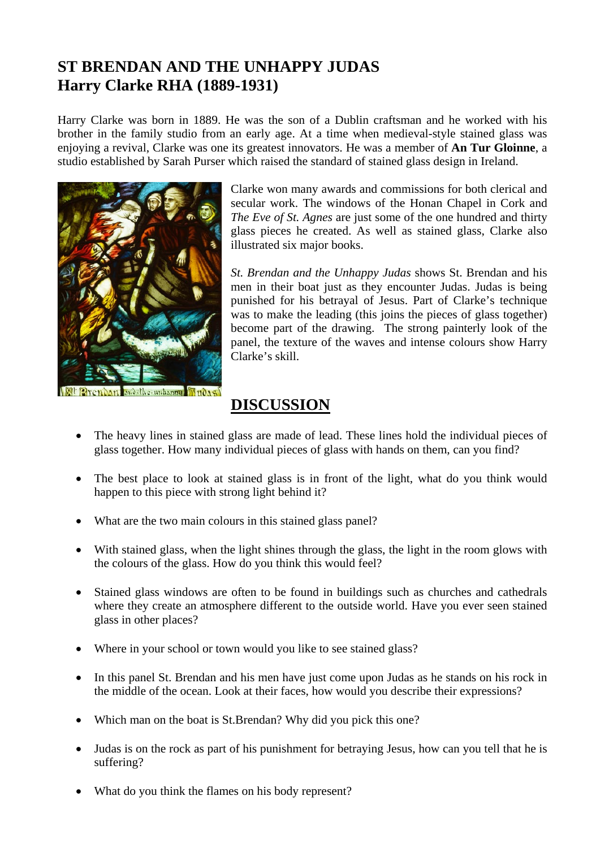## **ST BRENDAN AND THE UNHAPPY JUDAS Harry Clarke RHA (1889-1931)**

Harry Clarke was born in 1889. He was the son of a Dublin craftsman and he worked with his brother in the family studio from an early age. At a time when medieval-style stained glass was enjoying a revival, Clarke was one its greatest innovators. He was a member of **An Tur Gloinne**, a studio established by Sarah Purser which raised the standard of stained glass design in Ireland.



the unhappy Mudag

Clarke won many awards and commissions for both clerical and secular work. The windows of the Honan Chapel in Cork and *The Eve of St. Agnes* are just some of the one hundred and thirty glass pieces he created. As well as stained glass, Clarke also illustrated six major books.

*St. Brendan and the Unhappy Judas* shows St. Brendan and his men in their boat just as they encounter Judas. Judas is being punished for his betrayal of Jesus. Part of Clarke's technique was to make the leading (this joins the pieces of glass together) become part of the drawing. The strong painterly look of the panel, the texture of the waves and intense colours show Harry Clarke's skill.

## **DISCUSSION**

- The heavy lines in stained glass are made of lead. These lines hold the individual pieces of glass together. How many individual pieces of glass with hands on them, can you find?
- The best place to look at stained glass is in front of the light, what do you think would happen to this piece with strong light behind it?
- What are the two main colours in this stained glass panel?
- With stained glass, when the light shines through the glass, the light in the room glows with the colours of the glass. How do you think this would feel?
- Stained glass windows are often to be found in buildings such as churches and cathedrals where they create an atmosphere different to the outside world. Have you ever seen stained glass in other places?
- Where in your school or town would you like to see stained glass?
- In this panel St. Brendan and his men have just come upon Judas as he stands on his rock in the middle of the ocean. Look at their faces, how would you describe their expressions?
- Which man on the boat is St.Brendan? Why did you pick this one?
- Judas is on the rock as part of his punishment for betraying Jesus, how can you tell that he is suffering?
- What do you think the flames on his body represent?